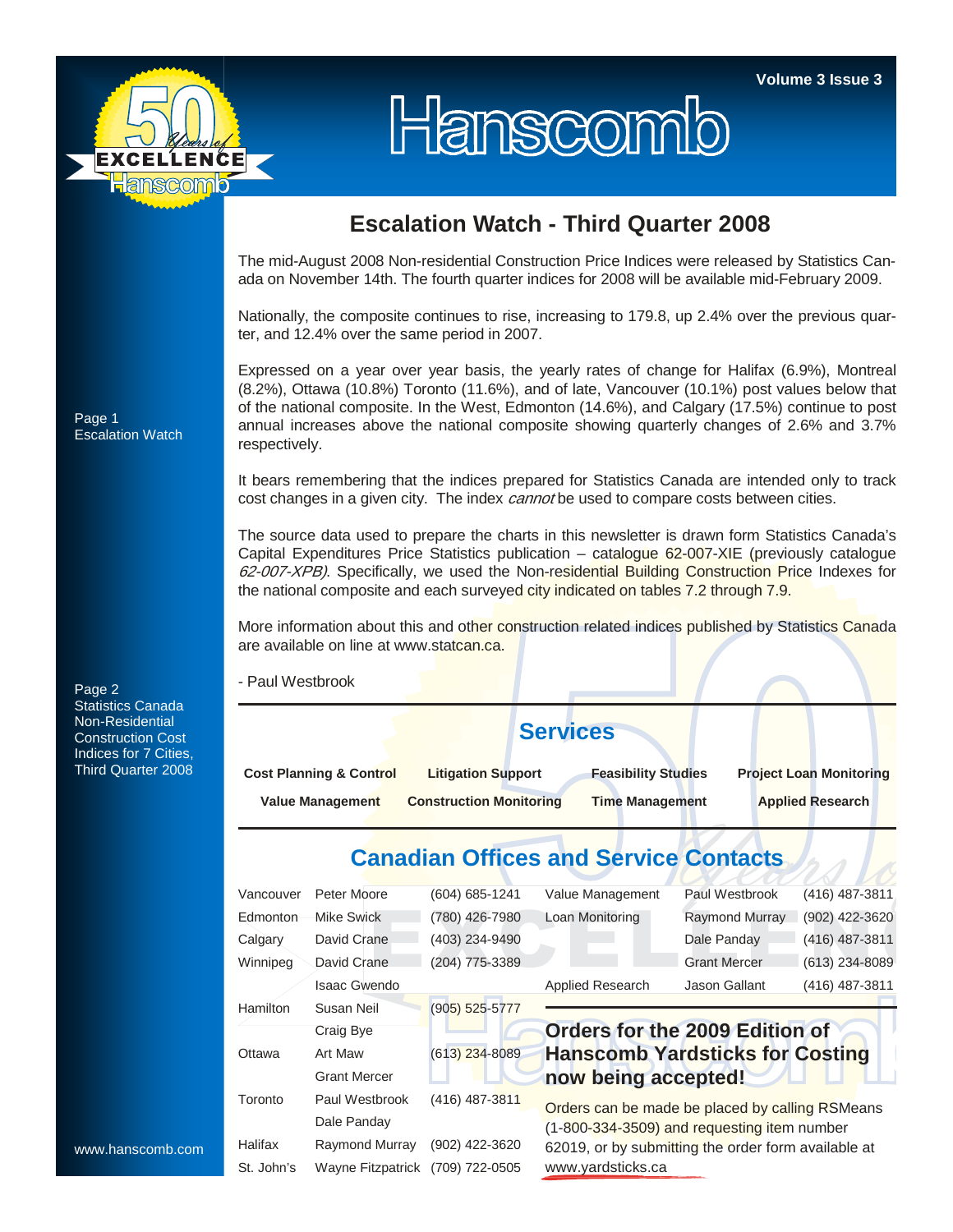

# Hanscomb

### **Escalation Watch - Third Quarter 2008**

The mid-August 2008 Non-residential Construction Price Indices were released by Statistics Canada on November 14th. The fourth quarter indices for 2008 will be available mid-February 2009.

Nationally, the composite continues to rise, increasing to 179.8, up 2.4% over the previous quarter, and 12.4% over the same period in 2007.

Expressed on a year over year basis, the yearly rates of change for Halifax (6.9%), Montreal (8.2%), Ottawa (10.8%) Toronto (11.6%), and of late, Vancouver (10.1%) post values below that of the national composite. In the West, Edmonton (14.6%), and Calgary (17.5%) continue to post annual increases above the national composite showing quarterly changes of 2.6% and 3.7% respectively.

It bears remembering that the indices prepared for Statistics Canada are intended only to track cost changes in a given city. The index *cannot* be used to compare costs between cities.

The source data used to prepare the charts in this newsletter is drawn form Statistics Canada's Capital Expenditures Price Statistics publication – catalogue 62-007-XIE (previously catalogue 62-007-XPB). Specifically, we used the Non-residential Building Construction Price Indexes for the national composite and each surveyed city indicated on tables 7.2 through 7.9.

More information about this and other construction related indices published by Statistics Canada are available on line at www.statcan.ca.

- Paul Westbrook

## **Services**

**Cost Planning & Control Litigation Support Feasibility Studies Project Loan Monitoring Value Management Construction Monitoring Time Management Applied Research** 

## **Canadian Offices and Service Contacts**

| Vancouver  | Peter Moore         | (604) 685-1241     | Value Management                                                                                                                                      | Paul Westbrook        | (416) 487-3811   |  |  |  |  |  |
|------------|---------------------|--------------------|-------------------------------------------------------------------------------------------------------------------------------------------------------|-----------------------|------------------|--|--|--|--|--|
| Edmonton   | Mike Swick          | (780) 426-7980     | Loan Monitoring                                                                                                                                       | <b>Raymond Murray</b> | (902) 422-3620   |  |  |  |  |  |
| Calgary    | David Crane         | (403) 234-9490     |                                                                                                                                                       | Dale Panday           | (416) 487-3811   |  |  |  |  |  |
| Winnipeg   | David Crane         | (204) 775-3389     |                                                                                                                                                       | <b>Grant Mercer</b>   | $(613)$ 234-8089 |  |  |  |  |  |
|            | <b>Isaac Gwendo</b> |                    | Applied Research                                                                                                                                      | Jason Gallant         | (416) 487-3811   |  |  |  |  |  |
| Hamilton   | Susan Neil          | $(905) 525 - 5777$ |                                                                                                                                                       |                       |                  |  |  |  |  |  |
|            | Craig Bye           |                    | Orders for the 2009 Edition of                                                                                                                        |                       |                  |  |  |  |  |  |
| Ottawa     | Art Maw             | $(613)$ 234-8089   | <b>Hanscomb Yardsticks for Costing</b>                                                                                                                |                       |                  |  |  |  |  |  |
|            | <b>Grant Mercer</b> |                    | now being accepted!                                                                                                                                   |                       |                  |  |  |  |  |  |
| Toronto    | Paul Westbrook      | (416) 487-3811     |                                                                                                                                                       |                       |                  |  |  |  |  |  |
|            | Dale Panday         |                    | Orders can be made be placed by calling RSMeans<br>(1-800-334-3509) and requesting item number<br>62019, or by submitting the order form available at |                       |                  |  |  |  |  |  |
| Halifax    | Raymond Murray      | (902) 422-3620     |                                                                                                                                                       |                       |                  |  |  |  |  |  |
| St. John's | Wayne Fitzpatrick   | (709) 722-0505     | www.yardsticks.ca                                                                                                                                     |                       |                  |  |  |  |  |  |

Page 1 Escalation Watch

Page 2 Statistics Canada Non-Residential Construction Cost Indices for 7 Cities, Third Quarter 2008